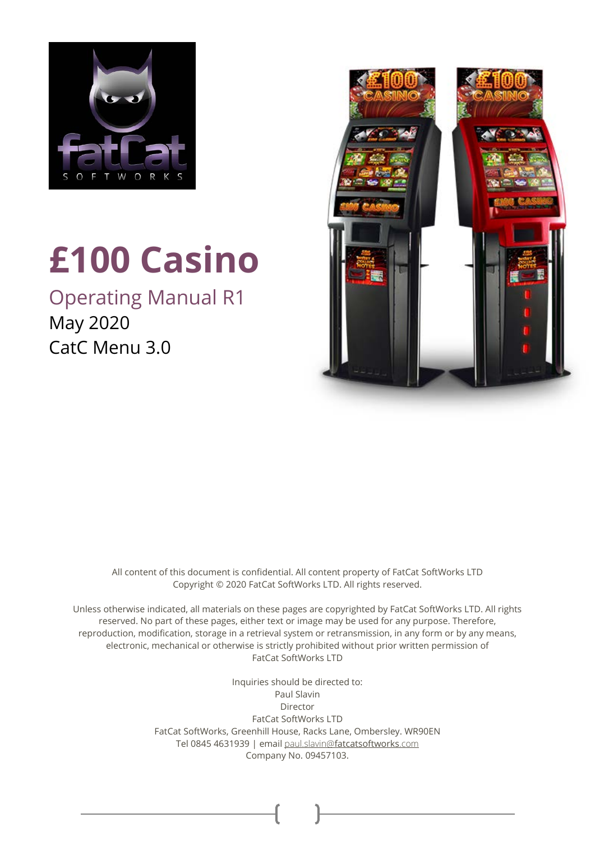

# **£100 Casino**

Operating Manual R1 May 2020 CatC Menu 3.0



All content of this document is confidential. All content property of FatCat SoftWorks LTD Copyright © 2020 FatCat SoftWorks LTD. All rights reserved.

Unless otherwise indicated, all materials on these pages are copyrighted by FatCat SoftWorks LTD. All rights reserved. No part of these pages, either text or image may be used for any purpose. Therefore, reproduction, modification, storage in a retrieval system or retransmission, in any form or by any means, electronic, mechanical or otherwise is strictly prohibited without prior written permission of FatCat SoftWorks LTD

> Inquiries should be directed to: Paul Slavin Director FatCat SoftWorks LTD FatCat SoftWorks, Greenhill House, Racks Lane, Ombersley. WR90EN Tel 0845 4631939 | email paul.slavin@[fatcatsoftworks](mailto:paul.slavin@fatcatsoftworks.com).com Company No. 09457103.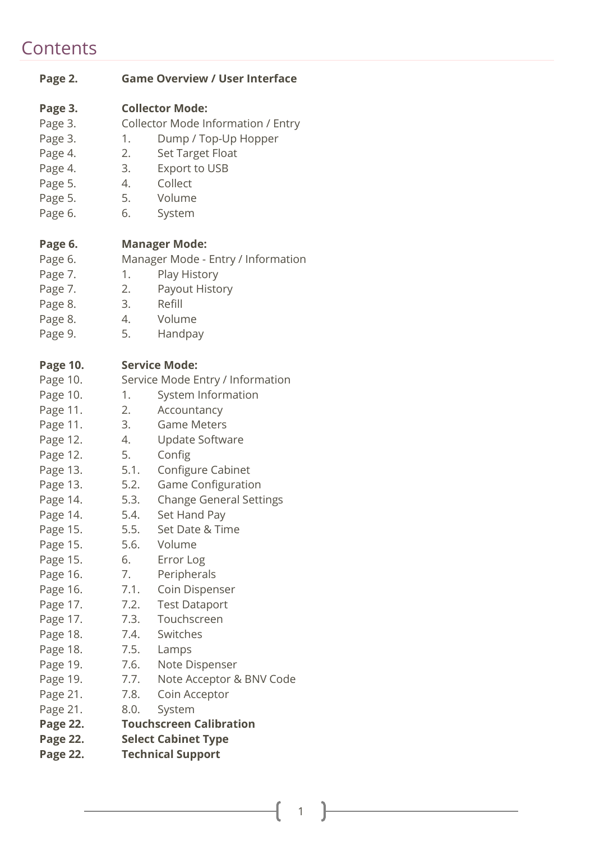# **Contents**

| Page 2.         |      | <b>Game Overview / User Interface</b> |
|-----------------|------|---------------------------------------|
| Page 3.         |      | <b>Collector Mode:</b>                |
| Page 3.         |      | Collector Mode Information / Entry    |
| Page 3.         | 1.   | Dump / Top-Up Hopper                  |
| Page 4.         | 2.   | <b>Set Target Float</b>               |
| Page 4.         | 3.   | Export to USB                         |
| Page 5.         | 4.   | Collect                               |
| Page 5.         | 5.   | Volume                                |
| Page 6.         | 6.   | System                                |
|                 |      |                                       |
| Page 6.         |      | <b>Manager Mode:</b>                  |
| Page 6.         |      | Manager Mode - Entry / Information    |
| Page 7.         | 1.   | Play History                          |
| Page 7.         | 2.   | Payout History                        |
| Page 8.         | 3.   | Refill                                |
| Page 8.         | 4.   | Volume                                |
| Page 9.         | 5.   | Handpay                               |
|                 |      |                                       |
| <b>Page 10.</b> |      | <b>Service Mode:</b>                  |
| Page 10.        |      | Service Mode Entry / Information      |
| Page 10.        | 1.   | System Information                    |
| Page 11.        | 2.   | Accountancy                           |
| Page 11.        | 3.   | <b>Game Meters</b>                    |
| Page 12.        | 4.   | <b>Update Software</b>                |
| Page 12.        | 5.   | Config                                |
| Page 13.        | 5.1. | Configure Cabinet                     |
| Page 13.        | 5.2. | Game Configuration                    |
| Page 14.        | 5.3. | <b>Change General Settings</b>        |
| Page 14.        | 5.4. | Set Hand Pay                          |
| Page 15.        | 5.5. | Set Date & Time                       |
| Page 15.        |      | 5.6. Volume                           |
| Page 15.        | 6.   | Error Log                             |
| Page 16.        | 7.   | Peripherals                           |
| Page 16.        | 7.1. | Coin Dispenser                        |
| Page 17.        | 7.2. | <b>Test Dataport</b>                  |
| Page 17.        |      | 7.3. Touchscreen                      |
| Page 18.        | 7.4. | Switches                              |
| Page 18.        | 7.5. | Lamps                                 |
| Page 19.        | 7.6. | Note Dispenser                        |
| Page 19.        | 7.7. | Note Acceptor & BNV Code              |
| Page 21.        | 7.8. | Coin Acceptor                         |
| Page 21.        | 8.0. | System                                |
| Page 22.        |      | <b>Touchscreen Calibration</b>        |
| Page 22.        |      | <b>Select Cabinet Type</b>            |
| Page 22.        |      | <b>Technical Support</b>              |
|                 |      |                                       |

1

 $\overline{\mathfrak{l}}$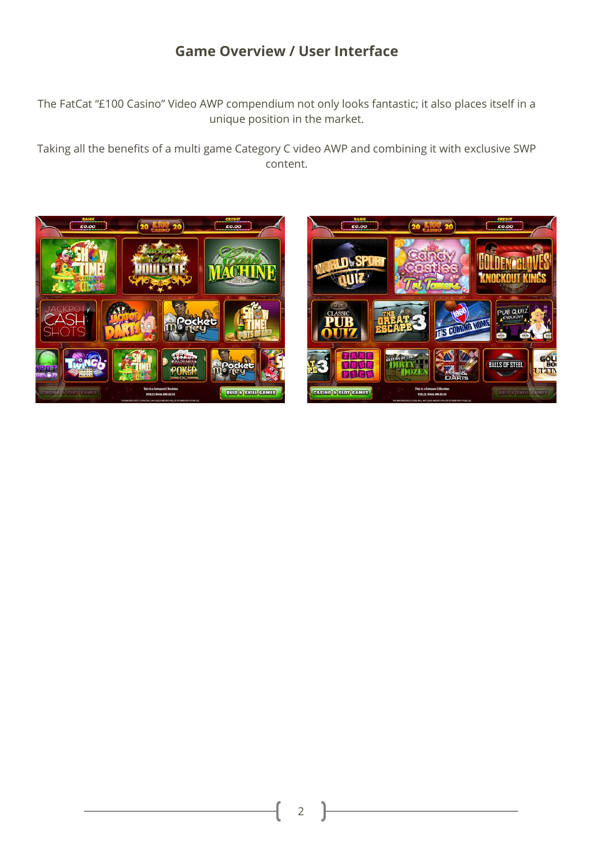# **Game Overview / User Interface**

The FatCat "£100 Casino" Video AWP compendium not only looks fantastic; it also places itself in a unique position in the market.

Taking all the benefits of a multi game Category C video AWP and combining it with exclusive SWP content.



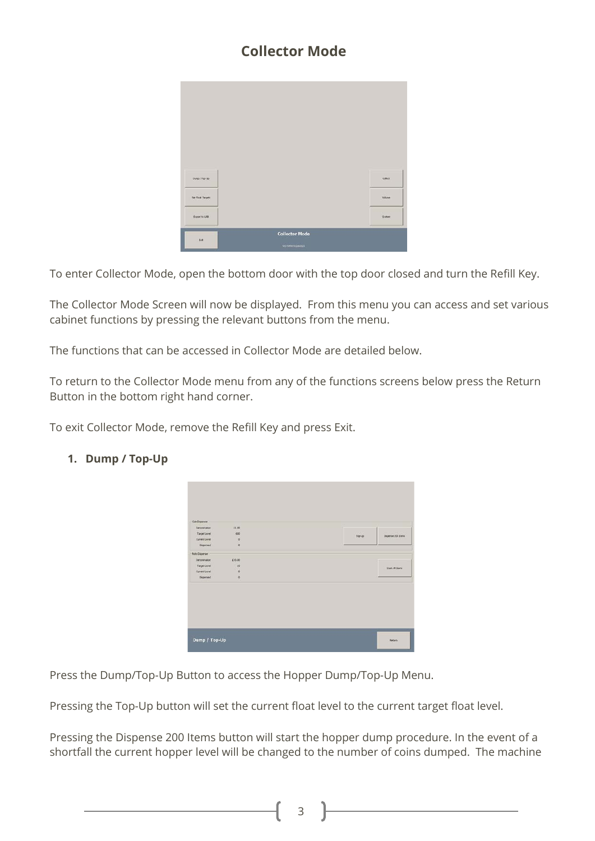# **Collector Mode**

| Dump / Traville  |                       | Collect       |
|------------------|-----------------------|---------------|
| Set Foot Targets |                       | Vikine:       |
| Export to USB    |                       | <b>System</b> |
| Dit              | <b>Collector Mode</b> |               |
|                  | <b>WS NAVIVES ENT</b> |               |

To enter Collector Mode, open the bottom door with the top door closed and turn the Refill Key.

The Collector Mode Screen will now be displayed. From this menu you can access and set various cabinet functions by pressing the relevant buttons from the menu.

The functions that can be accessed in Collector Mode are detailed below.

To return to the Collector Mode menu from any of the functions screens below press the Return Button in the bottom right hand corner.

To exit Collector Mode, remove the Refill Key and press Exit.

| Con Dispenser  |          |         |                    |
|----------------|----------|---------|--------------------|
| Denomination   | (1.00)   |         |                    |
| Targettevel    | 600      |         |                    |
| Oznacievel     | $\circ$  | Top-Lip | Disperse 200 Eeris |
| Dispensed      | $\alpha$ |         |                    |
| Note Disperser |          |         |                    |
| Denomination   | £10.00   |         |                    |
| TargetLevel    | 10       |         |                    |
| Oznaklevel     | $\circ$  |         | Stadi All Entra    |
| Dispensed      | $\circ$  |         |                    |
|                |          |         |                    |
|                |          |         |                    |
|                |          |         |                    |
|                |          |         |                    |
|                |          |         |                    |
|                |          |         |                    |
|                |          |         |                    |
|                |          |         |                    |
|                |          |         |                    |
|                |          |         |                    |
| Dump / Top-Up  |          |         | <b>Baban</b>       |
|                |          |         |                    |
|                |          |         |                    |

#### **1. Dump / Top-Up**

Press the Dump/Top-Up Button to access the Hopper Dump/Top-Up Menu.

Pressing the Top-Up button will set the current float level to the current target float level.

Pressing the Dispense 200 Items button will start the hopper dump procedure. In the event of a shortfall the current hopper level will be changed to the number of coins dumped. The machine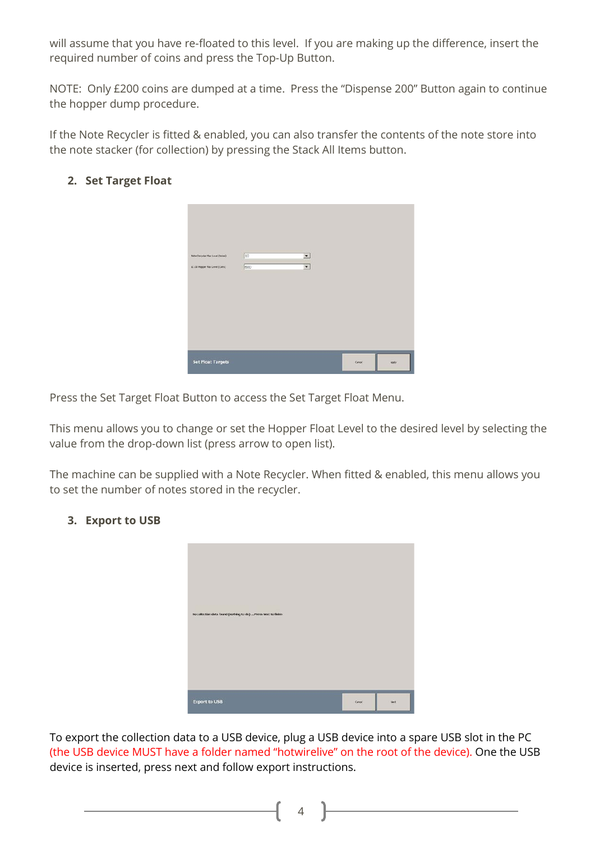will assume that you have re-floated to this level. If you are making up the difference, insert the required number of coins and press the Top-Up Button.

NOTE: Only £200 coins are dumped at a time. Press the "Dispense 200" Button again to continue the hopper dump procedure.

If the Note Recycler is fitted & enabled, you can also transfer the contents of the note store into the note stacker (for collection) by pressing the Stack All Items button.

#### **2. Set Target Float**

| Note Recycler Max Level (Notes)<br>£1.00 Hopper Max Level (Cons) | 10<br>600 | $\cdot$<br>$\bullet$ |        |       |
|------------------------------------------------------------------|-----------|----------------------|--------|-------|
|                                                                  |           |                      |        |       |
| <b>Set Float Targets</b>                                         |           |                      | Carcel | Apply |

Press the Set Target Float Button to access the Set Target Float Menu.

This menu allows you to change or set the Hopper Float Level to the desired level by selecting the value from the drop-down list (press arrow to open list).

The machine can be supplied with a Note Recycler. When fitted & enabled, this menu allows you to set the number of notes stored in the recycler.

#### **3. Export to USB**

| No collection data found (nothing to do)  Press Next to finish |        |      |
|----------------------------------------------------------------|--------|------|
| <b>Export to USB</b>                                           | Carcel | Next |

To export the collection data to a USB device, plug a USB device into a spare USB slot in the PC (the USB device MUST have a folder named "hotwirelive" on the root of the device). One the USB device is inserted, press next and follow export instructions.

4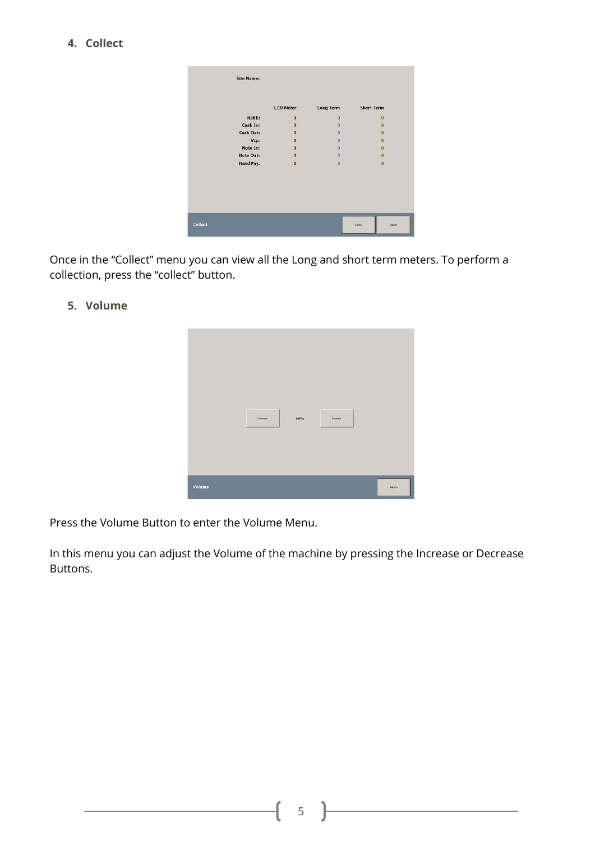**4. Collect**

| <b>Site Name:</b> |                     |                     |                         |         |
|-------------------|---------------------|---------------------|-------------------------|---------|
|                   | <b>LCD Meter</b>    | Long Term           | <b>Short Term</b>       |         |
| Refill:           | $\ddot{\mathbf{0}}$ | $\overline{0}$      | $\overline{\mathbf{0}}$ |         |
| Cash In:          | $\mathbf{0}$        | $\overline{0}$      | $\Omega$                |         |
| Cash Out:         | $\bf{0}$            | $\Omega$            | $\bf{0}$                |         |
| Vtp:              | $\bullet$           | $\mathbf{0}$        | $\overline{0}$          |         |
| Note In:          | $\bullet$           | $\alpha$            | $\ddot{\mathbf{o}}$     |         |
| Note Out:         | $\ddot{\mathbf{o}}$ | $\ddot{\mathbf{0}}$ | ö                       |         |
| <b>Hand Pay:</b>  | $\overline{0}$      | $\overline{0}$      | $\overline{0}$          |         |
|                   |                     |                     |                         |         |
|                   |                     |                     |                         |         |
|                   |                     |                     |                         |         |
| Collect           |                     |                     | Carcel                  | Collect |

Once in the "Collect" menu you can view all the Long and short term meters. To perform a collection, press the "collect" button.

**5. Volume**



Press the Volume Button to enter the Volume Menu.

In this menu you can adjust the Volume of the machine by pressing the Increase or Decrease Buttons.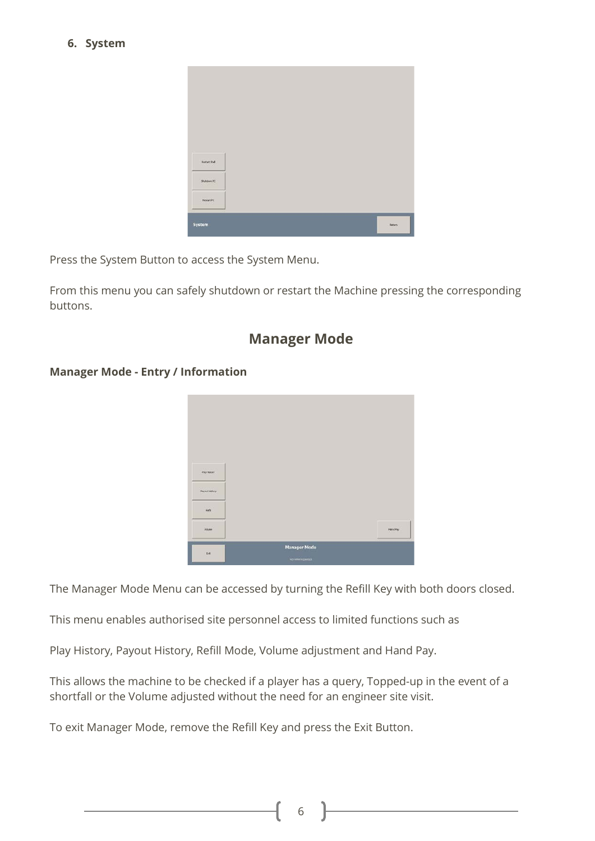#### **6. System**

| <b>Restart Shell</b> |  |  |               |
|----------------------|--|--|---------------|
| Shitdawi FC          |  |  |               |
| RestatPC             |  |  |               |
|                      |  |  |               |
| System               |  |  | <b>Rebati</b> |

Press the System Button to access the System Menu.

From this menu you can safely shutdown or restart the Machine pressing the corresponding buttons.

## **Manager Mode**

#### **Manager Mode - Entry / Information**



The Manager Mode Menu can be accessed by turning the Refill Key with both doors closed.

This menu enables authorised site personnel access to limited functions such as

Play History, Payout History, Refill Mode, Volume adjustment and Hand Pay.

This allows the machine to be checked if a player has a query, Topped-up in the event of a shortfall or the Volume adjusted without the need for an engineer site visit.

To exit Manager Mode, remove the Refill Key and press the Exit Button.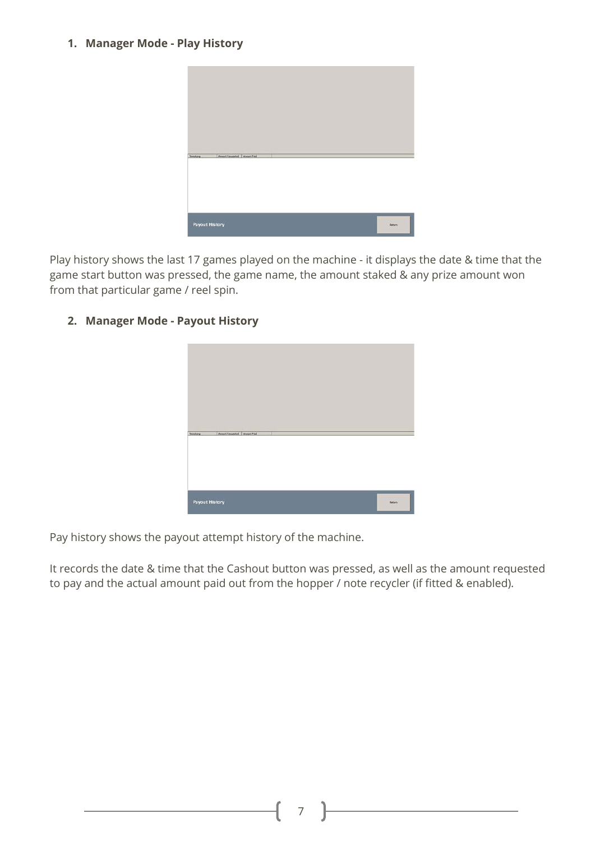#### **1. Manager Mode - Play History**



Play history shows the last 17 games played on the machine - it displays the date & time that the game start button was pressed, the game name, the amount staked & any prize amount won from that particular game / reel spin.

#### **2. Manager Mode - Payout History**



Pay history shows the payout attempt history of the machine.

It records the date & time that the Cashout button was pressed, as well as the amount requested to pay and the actual amount paid out from the hopper / note recycler (if fitted & enabled).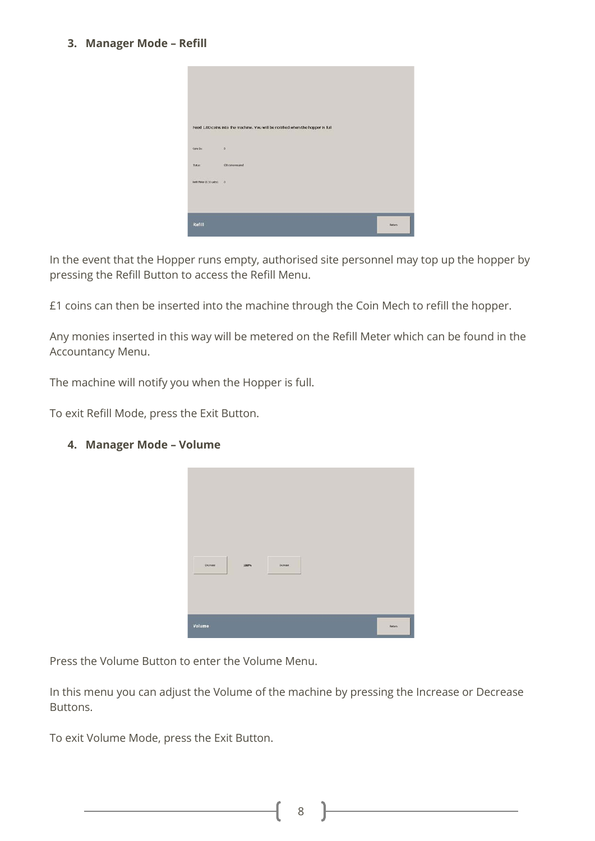#### **3. Manager Mode – Refill**

|                                   | Feed 1.00 coins into the machine. You will be notified when the hopper is full |              |
|-----------------------------------|--------------------------------------------------------------------------------|--------------|
| $\sim$ $\sim$ $\sim$<br>Cons Inc. |                                                                                |              |
| $2.6 \times$                      | 600 cons required                                                              |              |
| Kehl Heler (D.10 units): 0        |                                                                                |              |
| Refill                            |                                                                                | <b>Baban</b> |

In the event that the Hopper runs empty, authorised site personnel may top up the hopper by pressing the Refill Button to access the Refill Menu.

£1 coins can then be inserted into the machine through the Coin Mech to refill the hopper.

Any monies inserted in this way will be metered on the Refill Meter which can be found in the Accountancy Menu.

The machine will notify you when the Hopper is full.

To exit Refill Mode, press the Exit Button.

#### **4. Manager Mode – Volume**



Press the Volume Button to enter the Volume Menu.

In this menu you can adjust the Volume of the machine by pressing the Increase or Decrease Buttons.

To exit Volume Mode, press the Exit Button.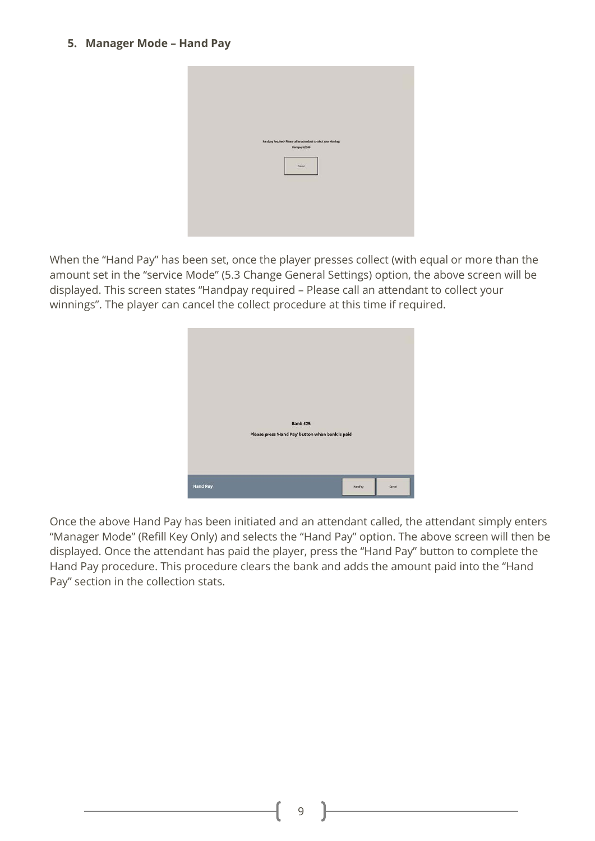#### **5. Manager Mode – Hand Pay**



When the "Hand Pay" has been set, once the player presses collect (with equal or more than the amount set in the "service Mode" (5.3 Change General Settings) option, the above screen will be displayed. This screen states "Handpay required – Please call an attendant to collect your winnings". The player can cancel the collect procedure at this time if required.



Once the above Hand Pay has been initiated and an attendant called, the attendant simply enters "Manager Mode" (Refill Key Only) and selects the "Hand Pay" option. The above screen will then be displayed. Once the attendant has paid the player, press the "Hand Pay" button to complete the Hand Pay procedure. This procedure clears the bank and adds the amount paid into the "Hand Pay" section in the collection stats.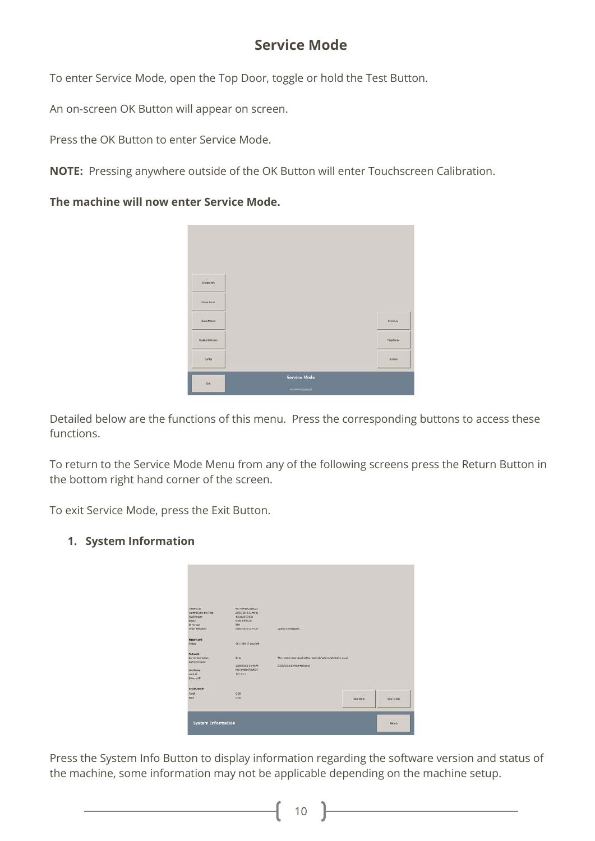# **Service Mode**

To enter Service Mode, open the Top Door, toggle or hold the Test Button.

An on-screen OK Button will appear on screen.

Press the OK Button to enter Service Mode.

**NOTE:** Pressing anywhere outside of the OK Button will enter Touchscreen Calibration.

#### **The machine will now enter Service Mode.**



Detailed below are the functions of this menu. Press the corresponding buttons to access these functions.

To return to the Service Mode Menu from any of the following screens press the Return Button in the bottom right hand corner of the screen.

To exit Service Mode, press the Exit Button.

#### **1. System Information**

| Terrary/ M            | MELWAWVIONADS         |                                                                |            |              |
|-----------------------|-----------------------|----------------------------------------------------------------|------------|--------------|
| Current Date and Time | 23/02/2018 13:46:58   |                                                                |            |              |
| Shell Version         | 4.0.4420.37130        |                                                                |            |              |
| Edition               | <b>W.01 / 3F2C.01</b> |                                                                |            |              |
| <b>DO Mersion</b>     | 734                   |                                                                |            |              |
| <b>When Rebouted</b>  | 2382/2018 12:41:23    | Uplican 5.53 minutes                                           |            |              |
| Smartcard             |                       |                                                                |            |              |
| <b>SUMME</b>          | OC: 1114.17 days left |                                                                |            |              |
| <b>Network</b>        |                       |                                                                |            |              |
| Server Connection     | Eva                   | The remote name could not be resoved: 'unbys hotweeking co.uk' |            |              |
| Last Cannected        |                       |                                                                |            |              |
|                       | 23/02/2010 13:46:44   | 23/02/2310 13:46:44 (0 secs)                                   |            |              |
| <b>Hout Name</b>      | HW WMAY/238321        |                                                                |            |              |
| Local BF.             | 127,0.0.1             |                                                                |            |              |
| Ederral P             |                       |                                                                |            |              |
| <b>Credit/Bark</b>    |                       |                                                                |            |              |
| Owle                  | 0.00                  |                                                                |            |              |
| <b>bird</b>           | 0.00                  |                                                                | Clear Bank | Clear Credit |
|                       |                       |                                                                |            |              |

Press the System Info Button to display information regarding the software version and status of the machine, some information may not be applicable depending on the machine setup.

10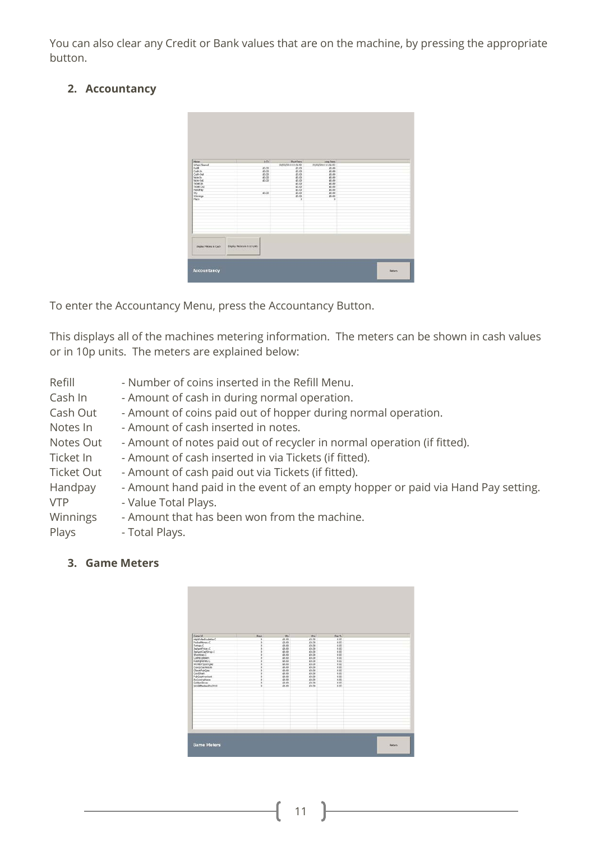You can also clear any Credit or Bank values that are on the machine, by pressing the appropriate button.

## **2. Accountancy**



To enter the Accountancy Menu, press the Accountancy Button.

This displays all of the machines metering information. The meters can be shown in cash values or in 10p units. The meters are explained below:

| Refill     | - Number of coins inserted in the Refill Menu.                                   |
|------------|----------------------------------------------------------------------------------|
| Cash In    | - Amount of cash in during normal operation.                                     |
| Cash Out   | - Amount of coins paid out of hopper during normal operation.                    |
| Notes In   | - Amount of cash inserted in notes.                                              |
| Notes Out  | - Amount of notes paid out of recycler in normal operation (if fitted).          |
| Ticket In  | - Amount of cash inserted in via Tickets (if fitted).                            |
| Ticket Out | - Amount of cash paid out via Tickets (if fitted).                               |
| Handpay    | - Amount hand paid in the event of an empty hopper or paid via Hand Pay setting. |
| <b>VTP</b> | - Value Total Plays.                                                             |
| Winnings   | - Amount that has been won from the machine.                                     |
| Plays      | - Total Plays.                                                                   |

**3. Game Meters**

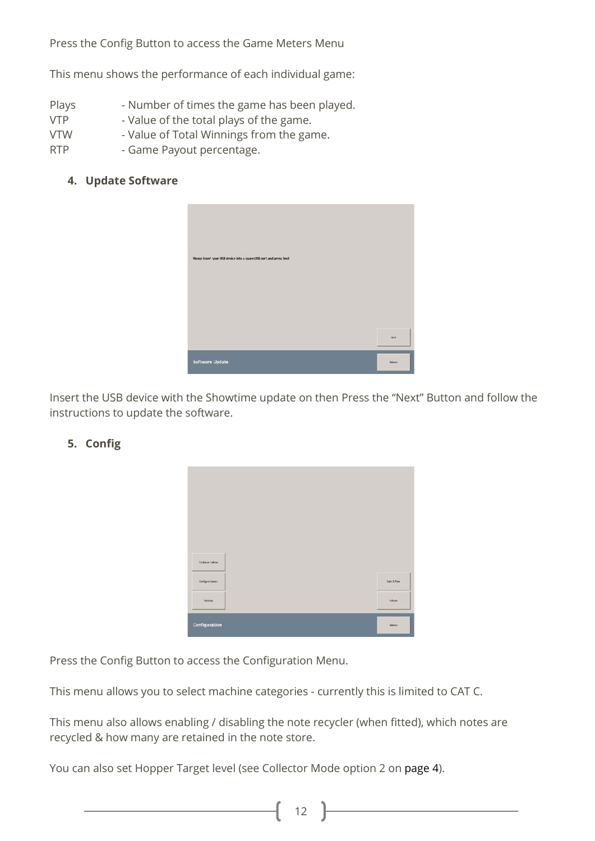Press the Config Button to access the Game Meters Menu

This menu shows the performance of each individual game:

- Plays Number of times the game has been played.
- VTP Value of the total plays of the game.
- VTW Value of Total Winnings from the game.
- RTP Game Payout percentage.

#### **4. Update Software**



Insert the USB device with the Showtime update on then Press the "Next" Button and follow the instructions to update the software.

| Configure Cabinet |  |                        |
|-------------------|--|------------------------|
| Carligue Comes    |  | <b>Colo &amp; Time</b> |
| Settings          |  | Vakane                 |

## **5. Config**

Press the Config Button to access the Configuration Menu.

This menu allows you to select machine categories - currently this is limited to CAT C.

This menu also allows enabling / disabling the note recycler (when fitted), which notes are recycled & how many are retained in the note store.

You can also set Hopper Target level (see Collector Mode option 2 on page 4).

12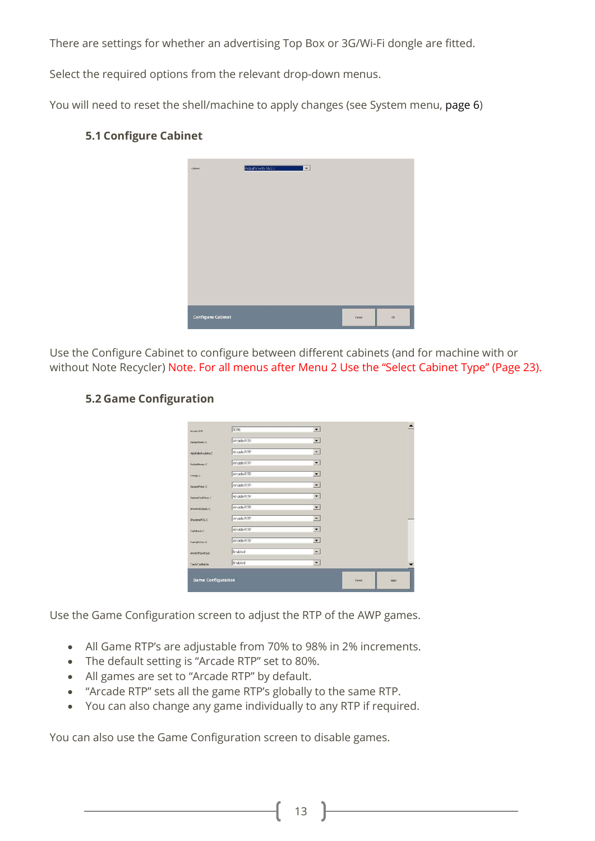There are settings for whether an advertising Top Box or 3G/Wi-Fi dongle are fitted.

Select the required options from the relevant drop-down menus.

You will need to reset the shell/machine to apply changes (see System menu, page 6)



### **5.1 Configure Cabinet**

Use the Configure Cabinet to configure between different cabinets (and for machine with or without Note Recycler) Note. For all menus after Menu 2 Use the "Select Cabinet Type" (Page 23).

#### **5.2 Game Configuration**

| Arcade KTP                | 80%            | $\cdot$                  |        |       |
|---------------------------|----------------|--------------------------|--------|-------|
| <b>JadgetDaits.C</b>      | Arcade RTP     | ▼                        |        |       |
| Hold de Koulette C.       | Arcade RTP     | $\blacktriangledown$     |        |       |
| PocketMoney C             | Arcade RTP     | $\bullet$                |        |       |
| Trango.C                  | Arcade RTP     | $\bullet$                |        |       |
| JadgotPoler C             | Arcade RTP     | $\overline{\phantom{a}}$ |        |       |
| IndextCad@rop.C           | Arcade RTP     | $\bullet$                |        |       |
| Showtmediamic C           | Arcade RTP     | $\overline{\phantom{a}}$ |        |       |
| ThoremePOG.C              | Arcade RTP     | ۰                        |        |       |
| Celeorisc                 | Arcade RTP     | $\bullet$                |        |       |
| <b>RacingRichael C</b>    | Arcade RTP     | $\blacktriangledown$     |        |       |
| WeldOfSportOut            | <b>Endoled</b> | $\blacktriangledown$     |        |       |
| Cand-Castled.kx           | Enabled        | ∙                        |        |       |
| <b>Game Configuration</b> |                |                          | Carcel | Apply |

Use the Game Configuration screen to adjust the RTP of the AWP games.

- All Game RTP's are adjustable from 70% to 98% in 2% increments.
- The default setting is "Arcade RTP" set to 80%.
- All games are set to "Arcade RTP" by default.
- "Arcade RTP" sets all the game RTP's globally to the same RTP.
- You can also change any game individually to any RTP if required.

You can also use the Game Configuration screen to disable games.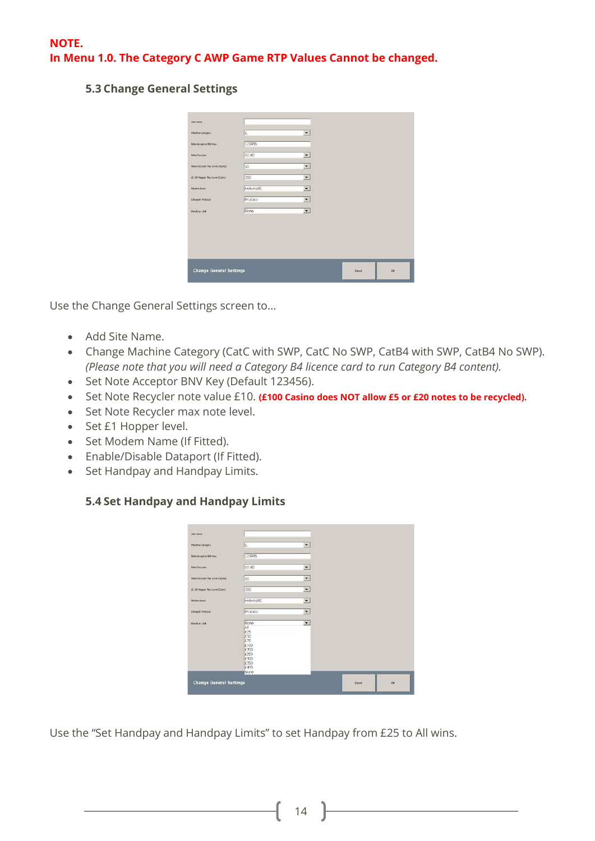#### **5.3 Change General Settings**

| bee have                        |           |                          |        |          |
|---------------------------------|-----------|--------------------------|--------|----------|
| Machine Cotogory                | Iс        | ۰                        |        |          |
| Note Acceptor MAFKey            | 123456    |                          |        |          |
| <b>Nobe Recycler</b>            | 10.00     | $\bullet$                |        |          |
| Note Recycler Max Level (Noted) | Ito       | $\pmb{\mathrm{v}}$       |        |          |
| £1.00 Hopper Play Level (Cutts) | 200       | $\overline{\phantom{a}}$ |        |          |
| Modern Name                     | Hotwire3G | $\blacktriangledown$     |        |          |
| Dataport Protocol               | Protocol. | $\blacktriangledown$     |        |          |
| Handbay Link                    | None      | ▼                        |        |          |
|                                 |           |                          |        |          |
| <b>Change General Settings</b>  |           |                          | Cancel | $\alpha$ |

Use the Change General Settings screen to…

- Add Site Name.
- Change Machine Category (CatC with SWP, CatC No SWP, CatB4 with SWP, CatB4 No SWP). *(Please note that you will need a Category B4 licence card to run Category B4 content).*
- Set Note Acceptor BNV Key (Default 123456).
- Set Note Recycler note value £10. **(£100 Casino does NOT allow £5 or £20 notes to be recycled).**
- Set Note Recycler max note level.
- Set £1 Hopper level.
- Set Modem Name (If Fitted).
- Enable/Disable Dataport (If Fitted).
- Set Handpay and Handpay Limits.

#### **5.4 Set Handpay and Handpay Limits**

| bee Name                        |                                                                                          |                          |        |          |
|---------------------------------|------------------------------------------------------------------------------------------|--------------------------|--------|----------|
| Machine Cotogory                | Iс                                                                                       | ۰                        |        |          |
| Note Acceptor INFXIvy           | 123456                                                                                   |                          |        |          |
| <b>Nobe Recycler</b>            | 10.00                                                                                    | $\bullet$                |        |          |
| Note Recycler Max Level (Notes) | I0                                                                                       | $\bullet$                |        |          |
| £1.00 Hopper Play Level (Cukis) | 200                                                                                      | $\overline{\phantom{a}}$ |        |          |
| Modern Manuel                   | Hotwire3G                                                                                | $\bullet$                |        |          |
| Dataport Protocol               | Protocol.                                                                                | $\bullet$                |        |          |
| Handpay Unit                    | Nore<br>All<br>£25<br>£50<br>£75<br>£100<br>F200<br>£250<br>£300<br>£350<br>6400<br>Nore | $\overline{\phantom{a}}$ |        |          |
| <b>Change General Settings</b>  |                                                                                          |                          | Cancel | $\alpha$ |

Use the "Set Handpay and Handpay Limits" to set Handpay from £25 to All wins.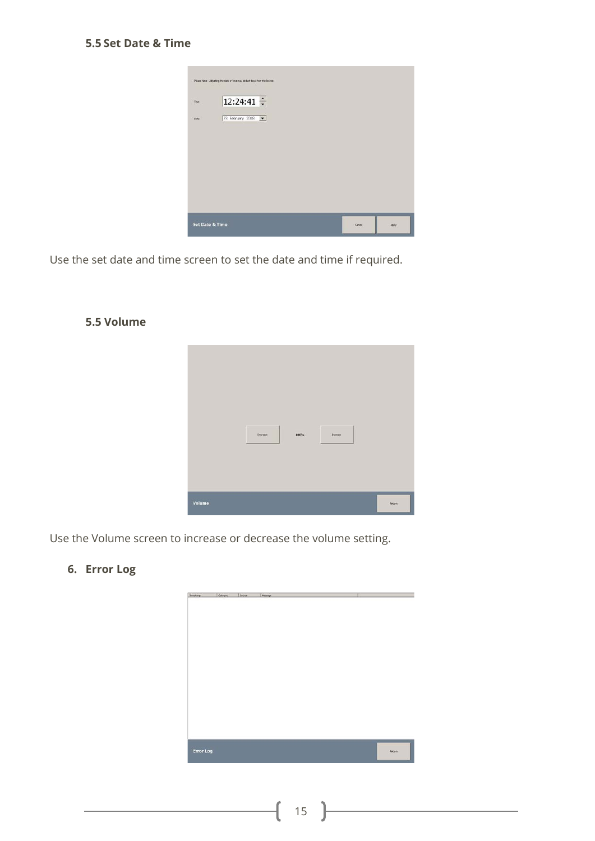|       | Please Note - Adjusting the date or time may deduct days from the licence. |  |  |
|-------|----------------------------------------------------------------------------|--|--|
| Time. | $12:24:41 \div$                                                            |  |  |
| Date: | 23 February 2018                                                           |  |  |
|       |                                                                            |  |  |
|       |                                                                            |  |  |
|       |                                                                            |  |  |
|       |                                                                            |  |  |
|       |                                                                            |  |  |
|       | <b>Set Date &amp; Time</b>                                                 |  |  |

Use the set date and time screen to set the date and time if required.

#### **5.5 Volume**



Use the Volume screen to increase or decrease the volume setting.

## **6. Error Log**

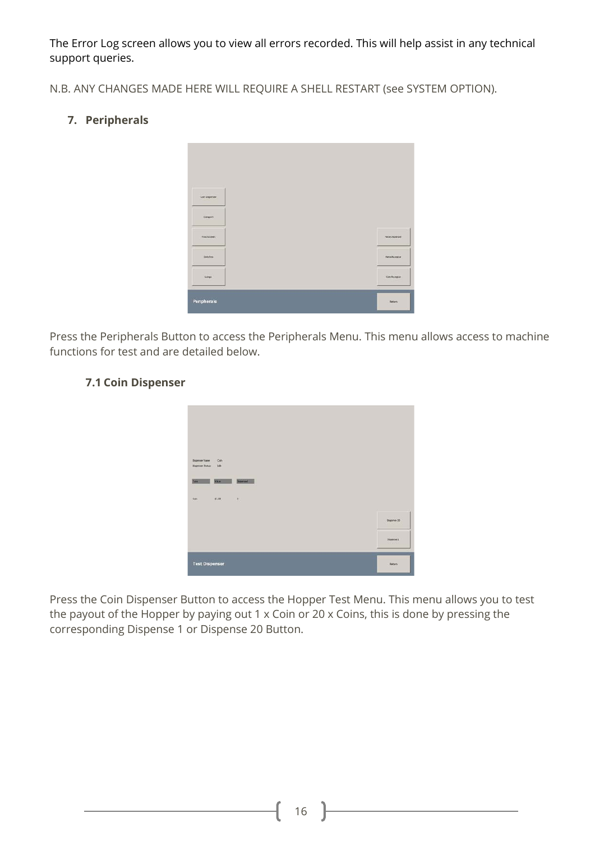The Error Log screen allows you to view all errors recorded. This will help assist in any technical support queries.

N.B. ANY CHANGES MADE HERE WILL REQUIRE A SHELL RESTART (see SYSTEM OPTION).

## **7. Peripherals**



Press the Peripherals Button to access the Peripherals Menu. This menu allows access to machine functions for test and are detailed below.



#### **7.1 Coin Dispenser**

Press the Coin Dispenser Button to access the Hopper Test Menu. This menu allows you to test the payout of the Hopper by paying out 1 x Coin or 20 x Coins, this is done by pressing the corresponding Dispense 1 or Dispense 20 Button.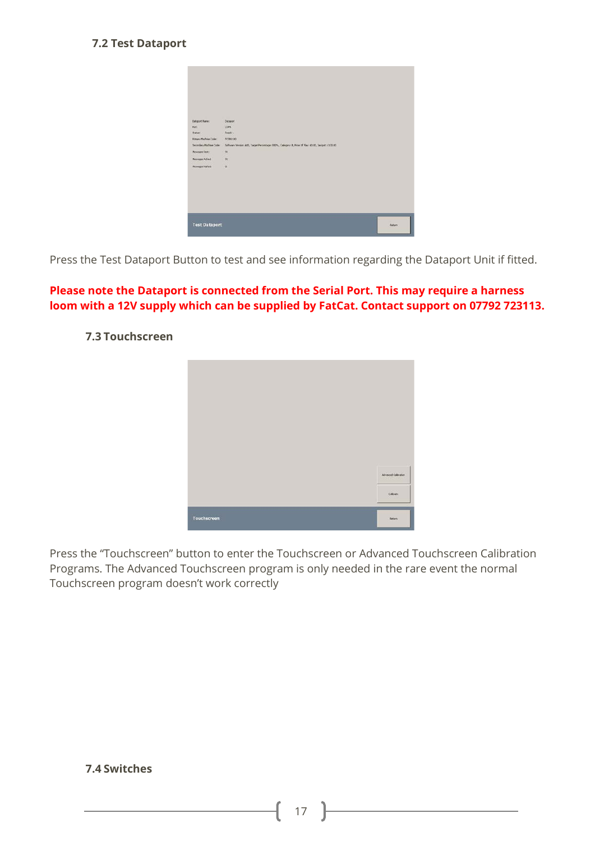#### **7.2 Test Dataport**

| <b>Dataport Name:</b><br>Port: | Dataport<br>CONT                                                                                    |              |
|--------------------------------|-----------------------------------------------------------------------------------------------------|--------------|
| Status:                        | Ready -                                                                                             |              |
| <b>Primary Machine Code:</b>   | FC98100                                                                                             |              |
| Secondary Machine Code:        | Software Version: ADS, Target Percentage: 000%, Category: 8, Price Of Play: 60.00, Jacipot: 6130.00 |              |
| Messages Sent:                 | 24                                                                                                  |              |
| Nessages Adied                 | $^{91}$                                                                                             |              |
| <b>Messages Nation</b>         | a                                                                                                   |              |
|                                |                                                                                                     |              |
|                                |                                                                                                     |              |
|                                |                                                                                                     |              |
|                                |                                                                                                     |              |
|                                |                                                                                                     |              |
| <b>Test Dataport</b>           |                                                                                                     | <b>Butun</b> |

Press the Test Dataport Button to test and see information regarding the Dataport Unit if fitted.

#### **Please note the Dataport is connected from the Serial Port. This may require a harness loom with a 12V supply which can be supplied by FatCat. Contact support on 07792 723113.**



#### **7.3 Touchscreen**

Press the "Touchscreen" button to enter the Touchscreen or Advanced Touchscreen Calibration Programs. The Advanced Touchscreen program is only needed in the rare event the normal Touchscreen program doesn't work correctly

#### **7.4 Switches**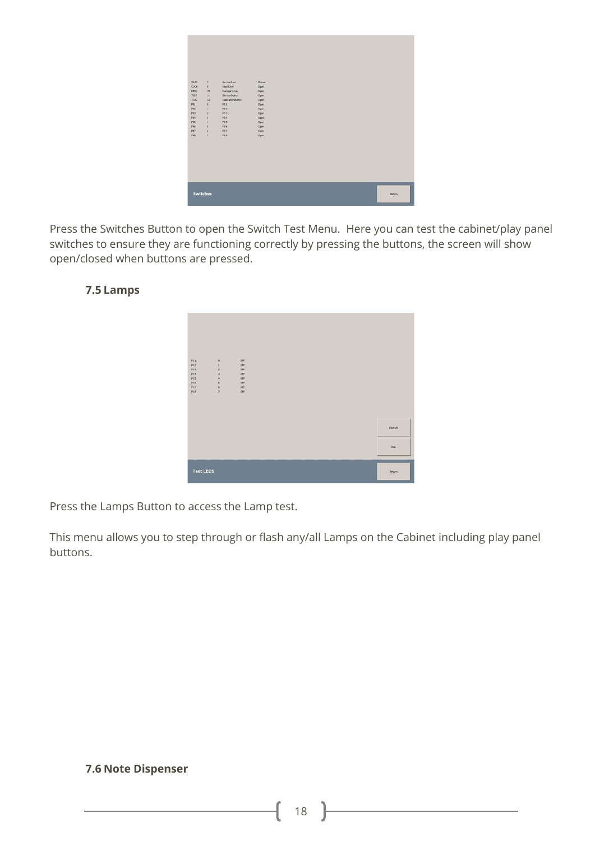

Press the Switches Button to open the Switch Test Menu. Here you can test the cabinet/play panel switches to ensure they are functioning correctly by pressing the buttons, the screen will show open/closed when buttons are pressed.

#### **7.5 Lamps**



Press the Lamps Button to access the Lamp test.

This menu allows you to step through or flash any/all Lamps on the Cabinet including play panel buttons.

#### **7.6 Note Dispenser**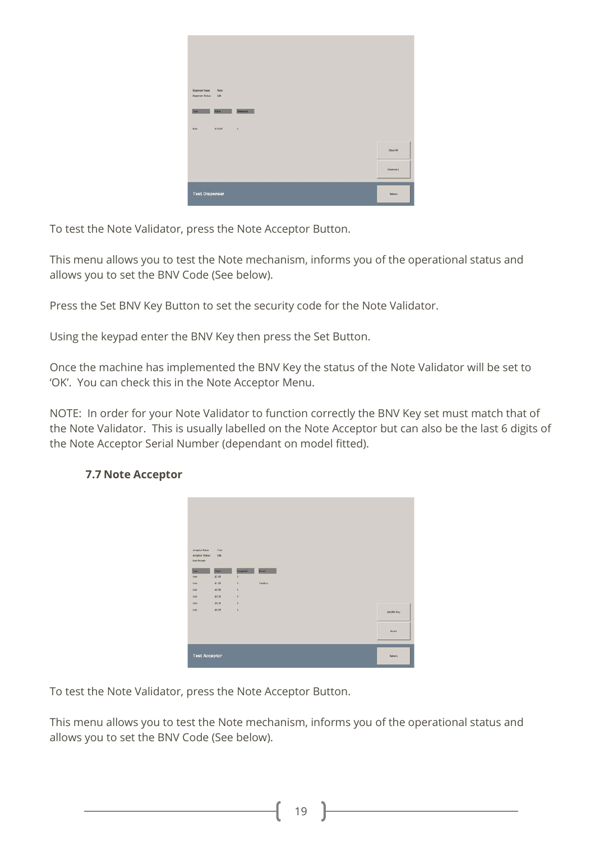| Dispensior Name:<br>Note<br>15n<br>Dispenser Status |           |
|-----------------------------------------------------|-----------|
| <b>Dipened</b><br>VA.<br>Types                      |           |
|                                                     |           |
| 6.0.00<br>0.11<br><b>Siple</b>                      |           |
|                                                     | Stack All |
|                                                     | Doperse 1 |

To test the Note Validator, press the Note Acceptor Button.

This menu allows you to test the Note mechanism, informs you of the operational status and allows you to set the BNV Code (See below).

Press the Set BNV Key Button to set the security code for the Note Validator.

Using the keypad enter the BNV Key then press the Set Button.

Once the machine has implemented the BNV Key the status of the Note Validator will be set to 'OK'. You can check this in the Note Acceptor Menu.

NOTE: In order for your Note Validator to function correctly the BNV Key set must match that of the Note Validator. This is usually labelled on the Note Acceptor but can also be the last 6 digits of the Note Acceptor Serial Number (dependant on model fitted).

| Acceptor Name<br>Acordine Status:<br>Last Accept: | Con<br>3.96          |                     |               |               |
|---------------------------------------------------|----------------------|---------------------|---------------|---------------|
| Type:<br>Con                                      | <b>WALK</b><br>62,00 | Acuptat<br>$\theta$ | <b>Direct</b> |               |
| Colv                                              | 61.00                | ø                   | Cast box      |               |
| Con                                               | 69.50                | o                   |               |               |
| Con <sup>1</sup>                                  | 61.20                | ö                   |               |               |
| Con <sup>1</sup>                                  | £6.10                | D)                  |               |               |
| Cott                                              | 65.05                | $\vert 0 \rangle$   |               | Set liner Key |
|                                                   |                      |                     |               | <b>Divert</b> |
|                                                   |                      |                     |               |               |

## **7.7 Note Acceptor**

To test the Note Validator, press the Note Acceptor Button.

This menu allows you to test the Note mechanism, informs you of the operational status and allows you to set the BNV Code (See below).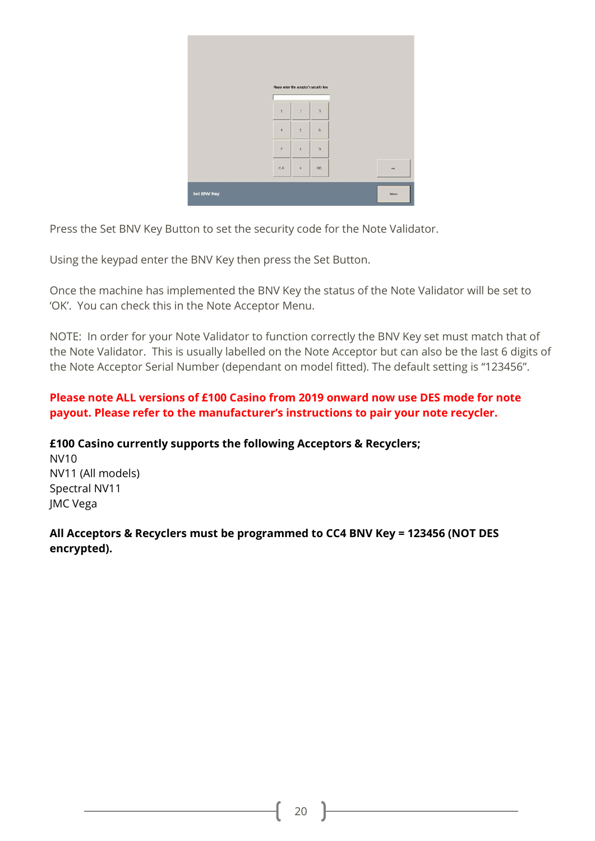|             |               |                         | Please enter the acceptor's security loy |         |
|-------------|---------------|-------------------------|------------------------------------------|---------|
|             | ×             | $\overline{2}$          | $\overline{3}$                           |         |
|             | $\ddot{ }$    | $\overline{\mathbf{S}}$ | $\tilde{\mathbb{G}}$ .                   |         |
|             | $\mathcal{I}$ | $\overline{8}$          | $\overline{9}$                           |         |
|             | QR            | $\alpha$                | DEL.                                     | $500$   |
| Set BNV Key |               |                         |                                          | Bebasy. |

Press the Set BNV Key Button to set the security code for the Note Validator.

Using the keypad enter the BNV Key then press the Set Button.

Once the machine has implemented the BNV Key the status of the Note Validator will be set to 'OK'. You can check this in the Note Acceptor Menu.

NOTE: In order for your Note Validator to function correctly the BNV Key set must match that of the Note Validator. This is usually labelled on the Note Acceptor but can also be the last 6 digits of the Note Acceptor Serial Number (dependant on model fitted). The default setting is "123456".

#### **Please note ALL versions of £100 Casino from 2019 onward now use DES mode for note payout. Please refer to the manufacturer's instructions to pair your note recycler.**

**£100 Casino currently supports the following Acceptors & Recyclers;** NV10 NV11 (All models) Spectral NV11 JMC Vega

**All Acceptors & Recyclers must be programmed to CC4 BNV Key = 123456 (NOT DES encrypted).**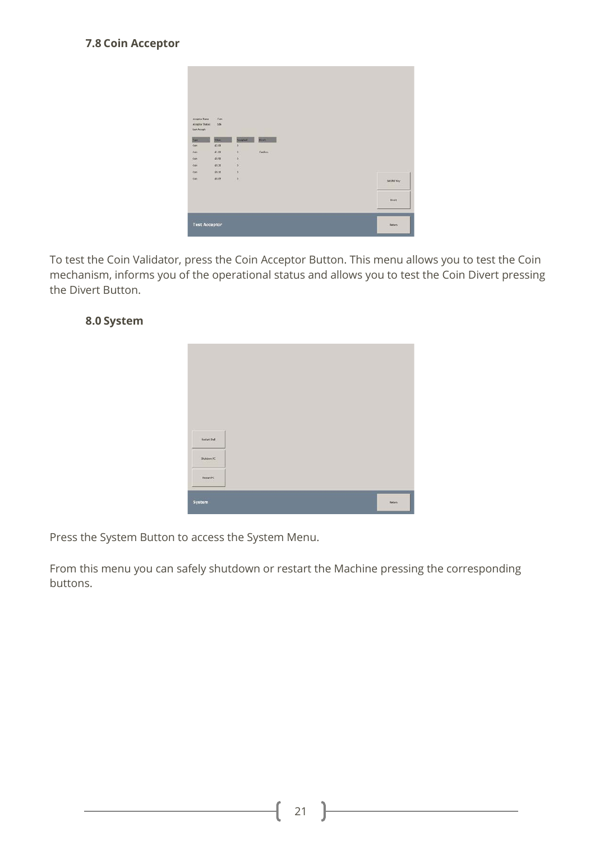#### **7.8 Coin Acceptor**

| Acceptor Name                          | Con         |               |          |               |
|----------------------------------------|-------------|---------------|----------|---------------|
| Acordine Status:                       | <b>Sde</b>  |               |          |               |
| Last Accept:                           |             |               |          |               |
| Best.                                  | <b>West</b> | Acuptat       | Direct.  |               |
| Con                                    | 62,00       | $\circ$       |          |               |
| Colv                                   | 61.00       | D)            | Cashkon, |               |
| Con                                    | 69.50       | D.            |          |               |
|                                        |             |               |          |               |
|                                        | 69.20       | ø             |          |               |
|                                        | £6.10       | D)            |          |               |
|                                        | 68.05       | $\mathcal{D}$ |          | Set liner Key |
| Con <sup>1</sup><br><b>Con</b><br>Cott |             |               |          | Divert        |
|                                        |             |               |          |               |

To test the Coin Validator, press the Coin Acceptor Button. This menu allows you to test the Coin mechanism, informs you of the operational status and allows you to test the Coin Divert pressing the Divert Button.



#### **8.0 System**

Press the System Button to access the System Menu.

From this menu you can safely shutdown or restart the Machine pressing the corresponding buttons.